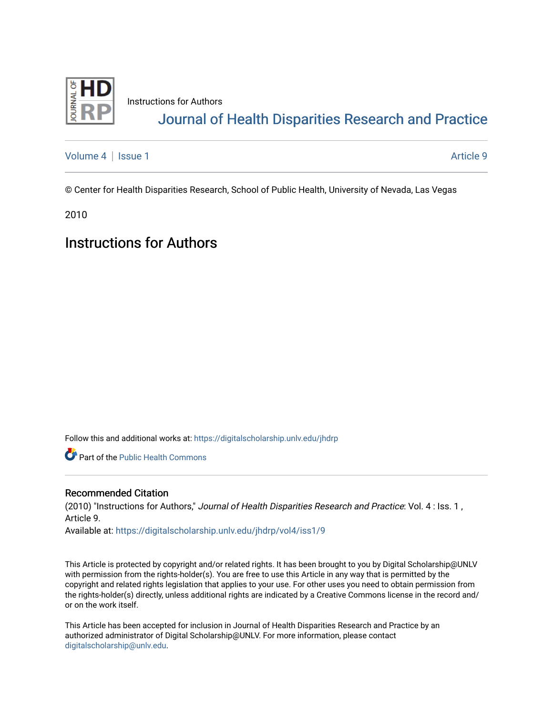

Instructions for Authors [Journal of Health Disparities Research and Practice](https://digitalscholarship.unlv.edu/jhdrp) 

[Volume 4](https://digitalscholarship.unlv.edu/jhdrp/vol4) | [Issue 1](https://digitalscholarship.unlv.edu/jhdrp/vol4/iss1) Article 9

© Center for Health Disparities Research, School of Public Health, University of Nevada, Las Vegas

2010

# Instructions for Authors

Follow this and additional works at: [https://digitalscholarship.unlv.edu/jhdrp](https://digitalscholarship.unlv.edu/jhdrp?utm_source=digitalscholarship.unlv.edu%2Fjhdrp%2Fvol4%2Fiss1%2F9&utm_medium=PDF&utm_campaign=PDFCoverPages) 

Part of the [Public Health Commons](http://network.bepress.com/hgg/discipline/738?utm_source=digitalscholarship.unlv.edu%2Fjhdrp%2Fvol4%2Fiss1%2F9&utm_medium=PDF&utm_campaign=PDFCoverPages) 

#### Recommended Citation

(2010) "Instructions for Authors," Journal of Health Disparities Research and Practice: Vol. 4 : Iss. 1 , Article 9.

Available at: [https://digitalscholarship.unlv.edu/jhdrp/vol4/iss1/9](https://digitalscholarship.unlv.edu/jhdrp/vol4/iss1/9?utm_source=digitalscholarship.unlv.edu%2Fjhdrp%2Fvol4%2Fiss1%2F9&utm_medium=PDF&utm_campaign=PDFCoverPages)

This Article is protected by copyright and/or related rights. It has been brought to you by Digital Scholarship@UNLV with permission from the rights-holder(s). You are free to use this Article in any way that is permitted by the copyright and related rights legislation that applies to your use. For other uses you need to obtain permission from the rights-holder(s) directly, unless additional rights are indicated by a Creative Commons license in the record and/ or on the work itself.

This Article has been accepted for inclusion in Journal of Health Disparities Research and Practice by an authorized administrator of Digital Scholarship@UNLV. For more information, please contact [digitalscholarship@unlv.edu](mailto:digitalscholarship@unlv.edu).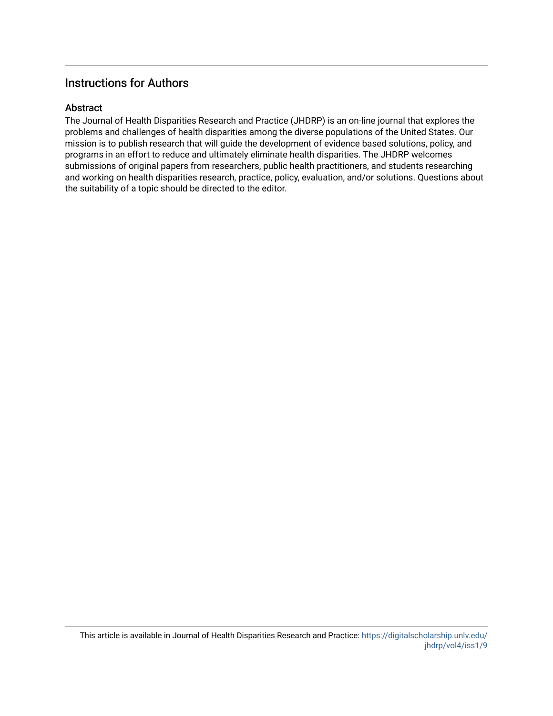### Instructions for Authors

#### **Abstract**

The Journal of Health Disparities Research and Practice (JHDRP) is an on-line journal that explores the problems and challenges of health disparities among the diverse populations of the United States. Our mission is to publish research that will guide the development of evidence based solutions, policy, and programs in an effort to reduce and ultimately eliminate health disparities. The JHDRP welcomes submissions of original papers from researchers, public health practitioners, and students researching and working on health disparities research, practice, policy, evaluation, and/or solutions. Questions about the suitability of a topic should be directed to the editor.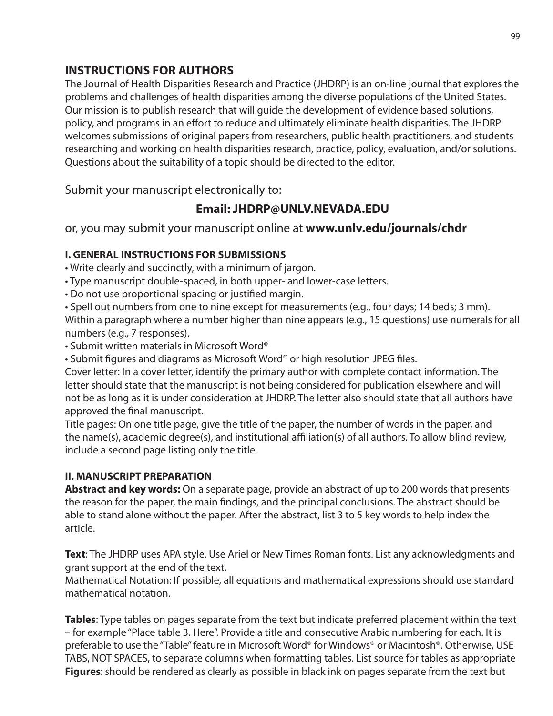# **INSTRUCTIONS FOR AUTHORS**

The Journal of Health Disparities Research and Practice (JHDRP) is an on-line journal that explores the problems and challenges of health disparities among the diverse populations of the United States. Our mission is to publish research that will guide the development of evidence based solutions, policy, and programs in an effort to reduce and ultimately eliminate health disparities. The JHDRP welcomes submissions of original papers from researchers, public health practitioners, and students researching and working on health disparities research, practice, policy, evaluation, and/or solutions. Questions about the suitability of a topic should be directed to the editor.

Submit your manuscript electronically to:

# **Email: JHDRP@UNLV.NEVADA.EDU**

or, you may submit your manuscript online at **www.unlv.edu/journals/chdr**

### **I. GENERAL INSTRUCTIONS FOR SUBMISSIONS**

• Write clearly and succinctly, with a minimum of jargon.

- Type manuscript double-spaced, in both upper- and lower-case letters.
- Do not use proportional spacing or justified margin.

• Spell out numbers from one to nine except for measurements (e.g., four days; 14 beds; 3 mm). Within a paragraph where a number higher than nine appears (e.g., 15 questions) use numerals for all numbers (e.g., 7 responses).

• Submit written materials in Microsoft Word®

• Submit figures and diagrams as Microsoft Word® or high resolution JPEG files.

Cover letter: In a cover letter, identify the primary author with complete contact information. The letter should state that the manuscript is not being considered for publication elsewhere and will not be as long as it is under consideration at JHDRP. The letter also should state that all authors have approved the final manuscript.

Title pages: On one title page, give the title of the paper, the number of words in the paper, and the name(s), academic degree(s), and institutional affiliation(s) of all authors. To allow blind review, include a second page listing only the title.

### **II. MANUSCRIPT PREPARATION**

**Abstract and key words:** On a separate page, provide an abstract of up to 200 words that presents the reason for the paper, the main findings, and the principal conclusions. The abstract should be able to stand alone without the paper. After the abstract, list 3 to 5 key words to help index the article.

**Text**: The JHDRP uses APA style. Use Ariel or New Times Roman fonts. List any acknowledgments and grant support at the end of the text.

Mathematical Notation: If possible, all equations and mathematical expressions should use standard mathematical notation.

**Tables**: Type tables on pages separate from the text but indicate preferred placement within the text – for example "Place table 3. Here". Provide a title and consecutive Arabic numbering for each. It is preferable to use the "Table" feature in Microsoft Word® for Windows® or Macintosh®. Otherwise, USE TABS, NOT SPACES, to separate columns when formatting tables. List source for tables as appropriate **Figures**: should be rendered as clearly as possible in black ink on pages separate from the text but